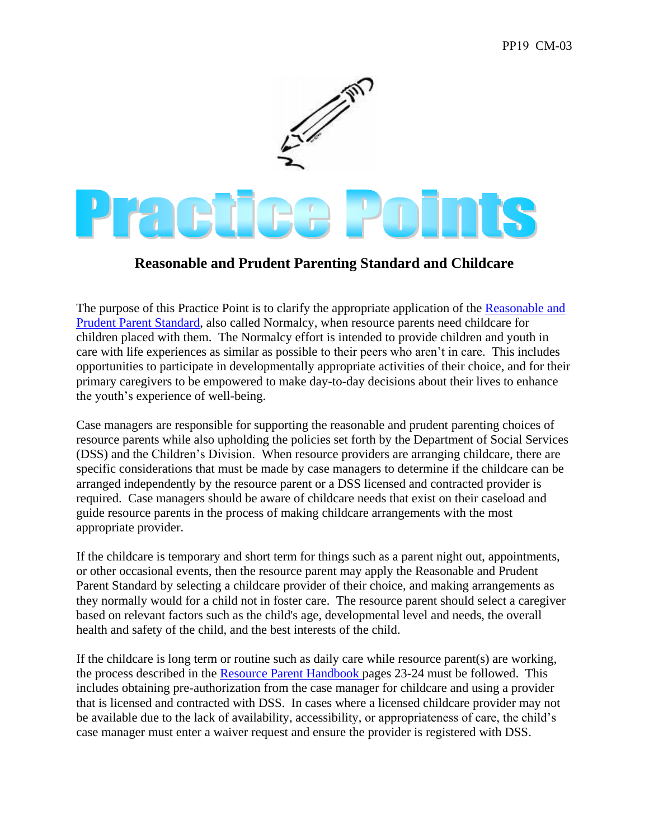

## **Reasonable and Prudent Parenting Standard and Childcare**

The purpose of this Practice Point is to clarify the appropriate application of the Reasonable and [Prudent Parent Standard,](https://house.mo.gov/billtracking/bills161/billpdf/truly/HB1877T.PDF) also called Normalcy, when resource parents need childcare for children placed with them. The Normalcy effort is intended to provide children and youth in care with life experiences as similar as possible to their peers who aren't in care. This includes opportunities to participate in developmentally appropriate activities of their choice, and for their primary caregivers to be empowered to make day-to-day decisions about their lives to enhance the youth's experience of well-being.

Case managers are responsible for supporting the reasonable and prudent parenting choices of resource parents while also upholding the policies set forth by the Department of Social Services (DSS) and the Children's Division. When resource providers are arranging childcare, there are specific considerations that must be made by case managers to determine if the childcare can be arranged independently by the resource parent or a DSS licensed and contracted provider is required. Case managers should be aware of childcare needs that exist on their caseload and guide resource parents in the process of making childcare arrangements with the most appropriate provider.

If the childcare is temporary and short term for things such as a parent night out, appointments, or other occasional events, then the resource parent may apply the Reasonable and Prudent Parent Standard by selecting a childcare provider of their choice, and making arrangements as they normally would for a child not in foster care. The resource parent should select a caregiver based on relevant factors such as the child's age, developmental level and needs, the overall health and safety of the child, and the best interests of the child.

If the childcare is long term or routine such as daily care while resource parent(s) are working, the process described in the [Resource Parent Handbook p](https://dss.mo.gov/cd/foster-care/pdf/fcresource.pdf)ages 23-24 must be followed. This includes obtaining pre-authorization from the case manager for childcare and using a provider that is licensed and contracted with DSS. In cases where a licensed childcare provider may not be available due to the lack of availability, accessibility, or appropriateness of care, the child's case manager must enter a waiver request and ensure the provider is registered with DSS.